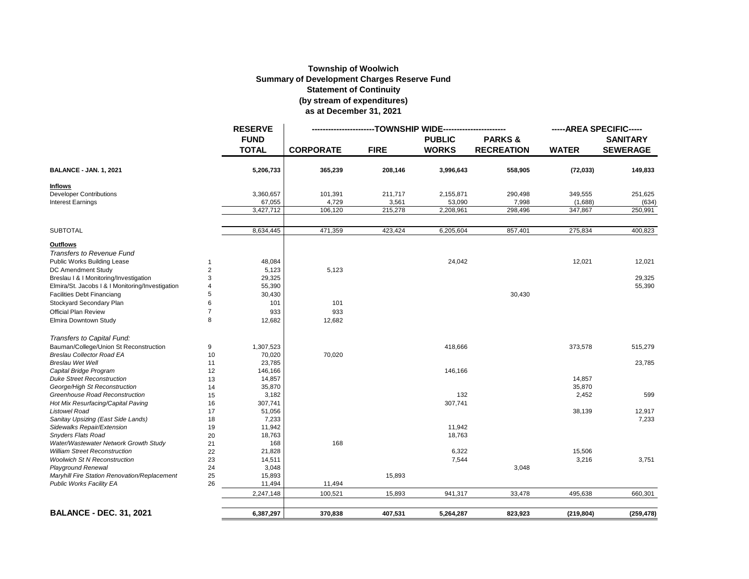## **Township of Woolwich Summary of Development Charges Reserve Fund Statement of Continuity (by stream of expenditures) as at December 31, 2021**

|                                                  |                | <b>RESERVE</b><br><b>FUND</b><br><b>TOTAL</b> | -TOWNSHIP WIDE----------- |             |                               |                                        | -----AREA SPECIFIC----- |                                    |
|--------------------------------------------------|----------------|-----------------------------------------------|---------------------------|-------------|-------------------------------|----------------------------------------|-------------------------|------------------------------------|
|                                                  |                |                                               | <b>CORPORATE</b>          | <b>FIRE</b> | <b>PUBLIC</b><br><b>WORKS</b> | <b>PARKS&amp;</b><br><b>RECREATION</b> | <b>WATER</b>            | <b>SANITARY</b><br><b>SEWERAGE</b> |
| <b>BALANCE - JAN. 1, 2021</b>                    |                | 5,206,733                                     | 365,239                   | 208,146     | 3,996,643                     | 558,905                                | (72, 033)               | 149,833                            |
| <b>Inflows</b>                                   |                |                                               |                           |             |                               |                                        |                         |                                    |
| <b>Developer Contributions</b>                   |                | 3,360,657                                     | 101,391                   | 211,717     | 2,155,871                     | 290,498                                | 349,555                 | 251,625                            |
| <b>Interest Earnings</b>                         |                | 67,055                                        | 4,729                     | 3,561       | 53,090                        | 7,998                                  | (1,688)                 | (634)                              |
|                                                  |                | 3,427,712                                     | 106,120                   | 215,278     | 2,208,961                     | 298,496                                | 347,867                 | 250,991                            |
| <b>SUBTOTAL</b>                                  |                | 8,634,445                                     | 471,359                   | 423,424     | 6,205,604                     | 857,401                                | 275,834                 | 400,823                            |
| <b>Outflows</b>                                  |                |                                               |                           |             |                               |                                        |                         |                                    |
| Transfers to Revenue Fund                        |                |                                               |                           |             |                               |                                        |                         |                                    |
| Public Works Building Lease                      | $\mathbf{1}$   | 48,084                                        |                           |             | 24,042                        |                                        | 12,021                  | 12,021                             |
| DC Amendment Study                               | $\overline{2}$ | 5,123                                         | 5,123                     |             |                               |                                        |                         |                                    |
| Breslau   &   Monitoring/Investigation           | 3              | 29,325                                        |                           |             |                               |                                        |                         | 29,325                             |
| Elmira/St. Jacobs   &   Monitoring/Investigation | $\overline{4}$ | 55,390                                        |                           |             |                               |                                        |                         | 55,390                             |
| <b>Facilities Debt Financiang</b>                | 5              | 30,430                                        |                           |             |                               | 30,430                                 |                         |                                    |
| Stockyard Secondary Plan                         | 6              | 101                                           | 101                       |             |                               |                                        |                         |                                    |
| <b>Official Plan Review</b>                      | $\overline{7}$ | 933                                           | 933                       |             |                               |                                        |                         |                                    |
| Elmira Downtown Study                            | 8              | 12,682                                        | 12,682                    |             |                               |                                        |                         |                                    |
| Transfers to Capital Fund:                       |                |                                               |                           |             |                               |                                        |                         |                                    |
| Bauman/College/Union St Reconstruction           | 9              | 1,307,523                                     |                           |             | 418,666                       |                                        | 373,578                 | 515,279                            |
| <b>Breslau Collector Road EA</b>                 | 10             | 70,020                                        | 70,020                    |             |                               |                                        |                         |                                    |
| <b>Breslau Wet Well</b>                          | 11             | 23,785                                        |                           |             |                               |                                        |                         | 23,785                             |
| Capital Bridge Program                           | 12             | 146,166                                       |                           |             | 146,166                       |                                        |                         |                                    |
| <b>Duke Street Reconstruction</b>                | 13             | 14,857                                        |                           |             |                               |                                        | 14,857                  |                                    |
| George/High St Reconstruction                    | 14             | 35,870                                        |                           |             |                               |                                        | 35,870                  |                                    |
| Greenhouse Road Reconstruction                   | 15             | 3,182                                         |                           |             | 132                           |                                        | 2,452                   | 599                                |
| Hot Mix Resurfacing/Capital Paving               | 16             | 307,741                                       |                           |             | 307,741                       |                                        |                         |                                    |
| <b>Listowel Road</b>                             | 17             | 51,056                                        |                           |             |                               |                                        | 38,139                  | 12,917                             |
| Sanitay Upsizing (East Side Lands)               | 18             | 7,233                                         |                           |             |                               |                                        |                         | 7,233                              |
| Sidewalks Repair/Extension                       | 19             | 11,942                                        |                           |             | 11,942                        |                                        |                         |                                    |
| <b>Snyders Flats Road</b>                        | 20             | 18,763                                        |                           |             | 18,763                        |                                        |                         |                                    |
| Water/Wastewater Network Growth Study            | 21             | 168                                           | 168                       |             |                               |                                        |                         |                                    |
| <b>William Street Reconstruction</b>             | 22             | 21,828                                        |                           |             | 6,322                         |                                        | 15,506                  |                                    |
| <b>Woolwich St N Reconstruction</b>              | 23             | 14,511                                        |                           |             | 7,544                         |                                        | 3,216                   | 3,751                              |
| <b>Playground Renewal</b>                        | 24             | 3,048                                         |                           |             |                               | 3,048                                  |                         |                                    |
| Maryhill Fire Station Renovation/Replacement     | 25             | 15,893                                        |                           | 15,893      |                               |                                        |                         |                                    |
| <b>Public Works Facility EA</b>                  | 26             | 11,494                                        | 11,494                    |             |                               |                                        |                         |                                    |
|                                                  |                | 2,247,148                                     | 100,521                   | 15,893      | 941,317                       | 33,478                                 | 495,638                 | 660,301                            |
|                                                  |                |                                               |                           |             |                               |                                        |                         |                                    |
| <b>BALANCE - DEC. 31, 2021</b>                   |                | 6,387,297                                     | 370,838                   | 407,531     | 5,264,287                     | 823,923                                | (219, 804)              | (259, 478)                         |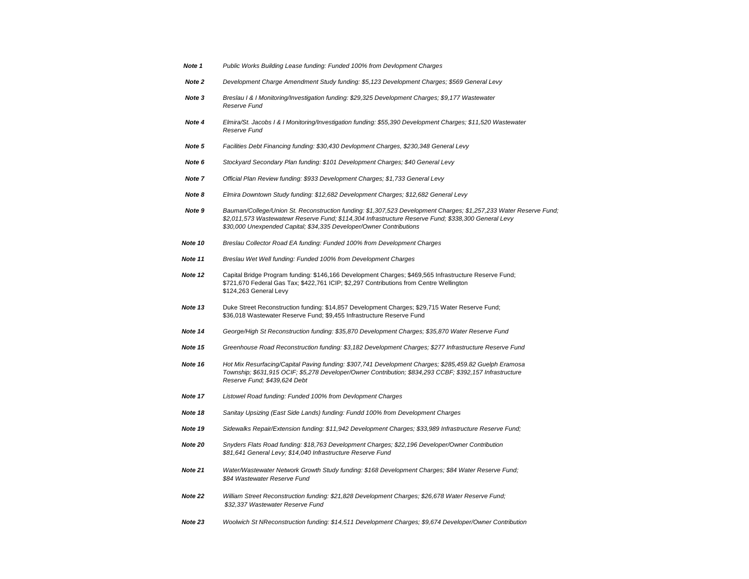| Public Works Building Lease funding: Funded 100% from Devlopment Charges                                                                                                                                                                                                                        |
|-------------------------------------------------------------------------------------------------------------------------------------------------------------------------------------------------------------------------------------------------------------------------------------------------|
| Development Charge Amendment Study funding: \$5,123 Development Charges; \$569 General Levy                                                                                                                                                                                                     |
| Breslau I & I Monitoring/Investigation funding: \$29,325 Development Charges; \$9,177 Wastewater<br>Reserve Fund                                                                                                                                                                                |
| Elmira/St. Jacobs I & I Monitoring/Investigation funding: \$55,390 Development Charges; \$11,520 Wastewater<br>Reserve Fund                                                                                                                                                                     |
| Facilities Debt Financing funding: \$30,430 Devlopment Charges, \$230,348 General Levy                                                                                                                                                                                                          |
| Stockyard Secondary Plan funding: \$101 Development Charges; \$40 General Levy                                                                                                                                                                                                                  |
| Official Plan Review funding: \$933 Development Charges; \$1,733 General Levy                                                                                                                                                                                                                   |
| Elmira Downtown Study funding: \$12,682 Development Charges; \$12,682 General Levy                                                                                                                                                                                                              |
| Bauman/College/Union St. Reconstruction funding: \$1,307,523 Development Charges; \$1,257,233 Water Reserve Fund,<br>\$2,011,573 Wastewatewr Reserve Fund; \$114,304 Infrastructure Reserve Fund; \$338,300 General Levy<br>\$30,000 Unexpended Capital; \$34,335 Developer/Owner Contributions |
| Breslau Collector Road EA funding: Funded 100% from Development Charges                                                                                                                                                                                                                         |
| Breslau Wet Well funding: Funded 100% from Development Charges                                                                                                                                                                                                                                  |
| Capital Bridge Program funding: \$146,166 Development Charges; \$469,565 Infrastructure Reserve Fund;<br>\$721,670 Federal Gas Tax; \$422,761 ICIP; \$2,297 Contributions from Centre Wellington<br>\$124,263 General Levy                                                                      |
| Duke Street Reconstruction funding: \$14,857 Development Charges; \$29,715 Water Reserve Fund;<br>\$36,018 Wastewater Reserve Fund; \$9,455 Infrastructure Reserve Fund                                                                                                                         |
| George/High St Reconstruction funding: \$35,870 Development Charges; \$35,870 Water Reserve Fund                                                                                                                                                                                                |
| Greenhouse Road Reconstruction funding: \$3,182 Development Charges; \$277 Infrastructure Reserve Fund                                                                                                                                                                                          |
| Hot Mix Resurfacing/Capital Paving funding: \$307,741 Development Charges; \$285,459.82 Guelph Eramosa<br>Township; \$631,915 OCIF; \$5,278 Developer/Owner Contribution; \$834,293 CCBF; \$392,157 Infrastructure<br>Reserve Fund; \$439,624 Debt                                              |
| Listowel Road funding: Funded 100% from Devlopment Charges                                                                                                                                                                                                                                      |
| Sanitay Upsizing (East Side Lands) funding: Fundd 100% from Development Charges                                                                                                                                                                                                                 |
| Sidewalks Repair/Extension funding: \$11,942 Development Charges; \$33,989 Infrastructure Reserve Fund;                                                                                                                                                                                         |
| Snyders Flats Road funding: \$18,763 Development Charges; \$22,196 Developer/Owner Contribution<br>\$81,641 General Levy; \$14,040 Infrastructure Reserve Fund                                                                                                                                  |
| Water/Wastewater Network Growth Study funding: \$168 Development Charges; \$84 Water Reserve Fund;<br>\$84 Wastewater Reserve Fund                                                                                                                                                              |
| William Street Reconstruction funding: \$21,828 Development Charges; \$26,678 Water Reserve Fund;<br>\$32,337 Wastewater Reserve Fund                                                                                                                                                           |
| Woolwich St NReconstruction funding: \$14,511 Development Charges; \$9,674 Developer/Owner Contribution                                                                                                                                                                                         |
|                                                                                                                                                                                                                                                                                                 |